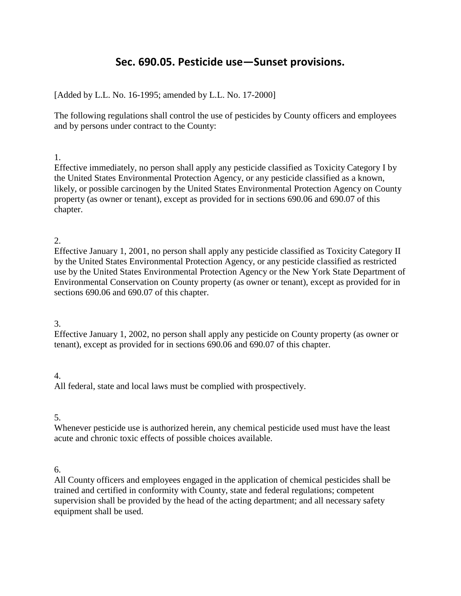# **Sec. 690.05. Pesticide use—Sunset provisions.**

## [Added by L.L. No. 16-1995; amended by L.L. No. 17-2000]

The following regulations shall control the use of pesticides by County officers and employees and by persons under contract to the County:

### 1.

Effective immediately, no person shall apply any pesticide classified as Toxicity Category I by the United States Environmental Protection Agency, or any pesticide classified as a known, likely, or possible carcinogen by the United States Environmental Protection Agency on County property (as owner or tenant), except as provided for in sections 690.06 and 690.07 of this chapter.

### 2.

Effective January 1, 2001, no person shall apply any pesticide classified as Toxicity Category II by the United States Environmental Protection Agency, or any pesticide classified as restricted use by the United States Environmental Protection Agency or the New York State Department of Environmental Conservation on County property (as owner or tenant), except as provided for in sections 690.06 and 690.07 of this chapter.

# 3.

Effective January 1, 2002, no person shall apply any pesticide on County property (as owner or tenant), except as provided for in sections 690.06 and 690.07 of this chapter.

# 4.

All federal, state and local laws must be complied with prospectively.

#### 5.

Whenever pesticide use is authorized herein, any chemical pesticide used must have the least acute and chronic toxic effects of possible choices available.

# 6.

All County officers and employees engaged in the application of chemical pesticides shall be trained and certified in conformity with County, state and federal regulations; competent supervision shall be provided by the head of the acting department; and all necessary safety equipment shall be used.